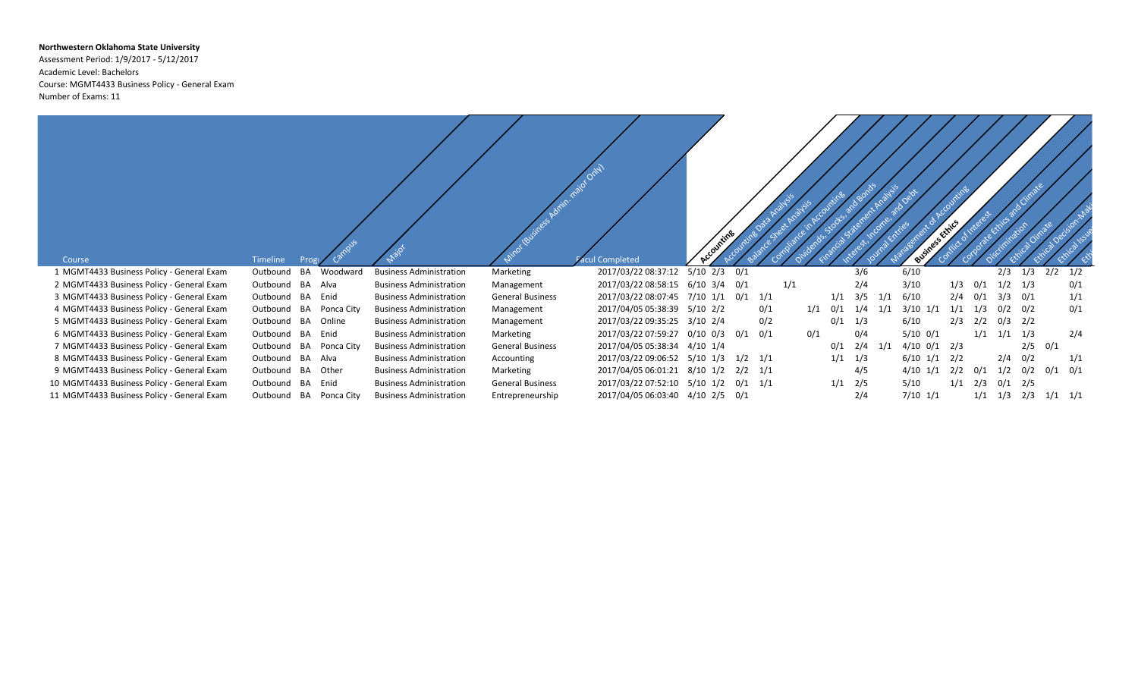## **Northwestern Oklahoma State University**

Assessment Period: 1/9/2017 - 5/12/2017 Academic Level: Bachelors Course: MGMT4433 Business Policy - General Exam Number of Exams: 11

| Course                                     | Timeline<br>Prog             |                                |                         | <b>Acul Completed</b>                    |                          |             |     |     |     |     |     |                | citrics |     |             |     |             |     |
|--------------------------------------------|------------------------------|--------------------------------|-------------------------|------------------------------------------|--------------------------|-------------|-----|-----|-----|-----|-----|----------------|---------|-----|-------------|-----|-------------|-----|
| 1 MGMT4433 Business Policy - General Exam  | BA<br>Woodward<br>Outbound   | <b>Business Administration</b> | Marketing               | 2017/03/22 08:37:12                      | $5/10$ $2/3$ $0/1$       |             |     |     |     | 3/6 |     | 6/10           |         |     | 2/3         | 1/3 | $2/2$ $1/2$ |     |
| 2 MGMT4433 Business Policy - General Exam  | Outbound BA<br>Alva          | <b>Business Administration</b> | Management              | 2017/03/22 08:58:15 6/10 3/4 0/1         |                          |             | 1/1 |     |     | 2/4 |     | 3/10           | 1/3     | 0/1 | 1/2         | 1/3 |             | 0/1 |
| 3 MGMT4433 Business Policy - General Exam  | BA<br>Outbound<br>Enid       | <b>Business Administration</b> | <b>General Business</b> | 2017/03/22 08:07:45                      | $7/10$ $1/1$ $0/1$ $1/1$ |             |     |     | 1/1 | 3/5 | 1/1 | 6/10           | 2/4     | 0/1 | 3/3         | 0/1 |             | 1/1 |
| 4 MGMT4433 Business Policy - General Exam  | BA<br>Outbound<br>Ponca City | <b>Business Administration</b> | Management              | 2017/04/05 05:38:39                      | 5/10 2/2                 |             | 0/1 | 1/1 | 0/1 | 1/4 | 1/1 | $3/10$ $1/1$   | 1/1     | 1/3 | 0/2         | 0/2 |             | 0/1 |
| 5 MGMT4433 Business Policy - General Exam  | Outbound BA<br>Online        | <b>Business Administration</b> | Management              | 2017/03/22 09:35:25 3/10 2/4             |                          |             | 0/2 |     | 0/1 | 1/3 |     | 6/10           | 2/3     | 2/2 | 0/3         | 2/2 |             |     |
| 6 MGMT4433 Business Policy - General Exam  | BA<br>Outbound<br>Enid       | <b>Business Administration</b> | Marketing               | 2017/03/22 07:59:27  0/10  0/3  0/1  0/1 |                          |             |     | 0/1 |     | 0/4 |     | $5/10$ $0/1$   |         |     | $1/1$ $1/1$ | 1/3 |             | 2/4 |
| 7 MGMT4433 Business Policy - General Exam  | BA<br>Outbound<br>Ponca City | <b>Business Administration</b> | <b>General Business</b> | 2017/04/05 05:38:34 4/10 1/4             |                          |             |     |     | 0/1 | 2/4 | 1/1 | $4/10$ 0/1 2/3 |         |     |             | 2/5 | 0/1         |     |
| 8 MGMT4433 Business Policy - General Exam  | BA<br>Alva<br>Outbound       | <b>Business Administration</b> | Accounting              | 2017/03/22 09:06:52 5/10 1/3             |                          | $1/2$ $1/1$ |     |     | 1/1 | 1/3 |     | $6/10$ $1/1$   | 2/2     |     | 2/4         | 0/2 |             | 1/1 |
| 9 MGMT4433 Business Policy - General Exam  | BA<br>Other<br>Outbound      | <b>Business Administration</b> | Marketing               | 2017/04/05 06:01:21 8/10 1/2             |                          | 2/2         | 1/1 |     |     | 4/5 |     | 4/10 1/1       | 2/2     | 0/1 | 1/2         | 0/2 | 0/1         | 0/1 |
| 10 MGMT4433 Business Policy - General Exam | BA<br>Enid<br>Outbound       | <b>Business Administration</b> | <b>General Business</b> | 2017/03/22 07:52:10 5/10 1/2             |                          | $0/1$ $1/1$ |     |     | 1/1 | 2/5 |     | 5/10           | 1/1     | 2/3 | 0/1         | 2/5 |             |     |
| 11 MGMT4433 Business Policy - General Exam | BA<br>Ponca City<br>Outbound | <b>Business Administration</b> | Entrepreneurship        | 2017/04/05 06:03:40  4/10  2/5  0/1      |                          |             |     |     |     | 2/4 |     | $7/10$ $1/1$   |         | 1/1 | 1/3         | 2/3 | $1/1$ $1/1$ |     |

 $\overline{\phantom{a}}$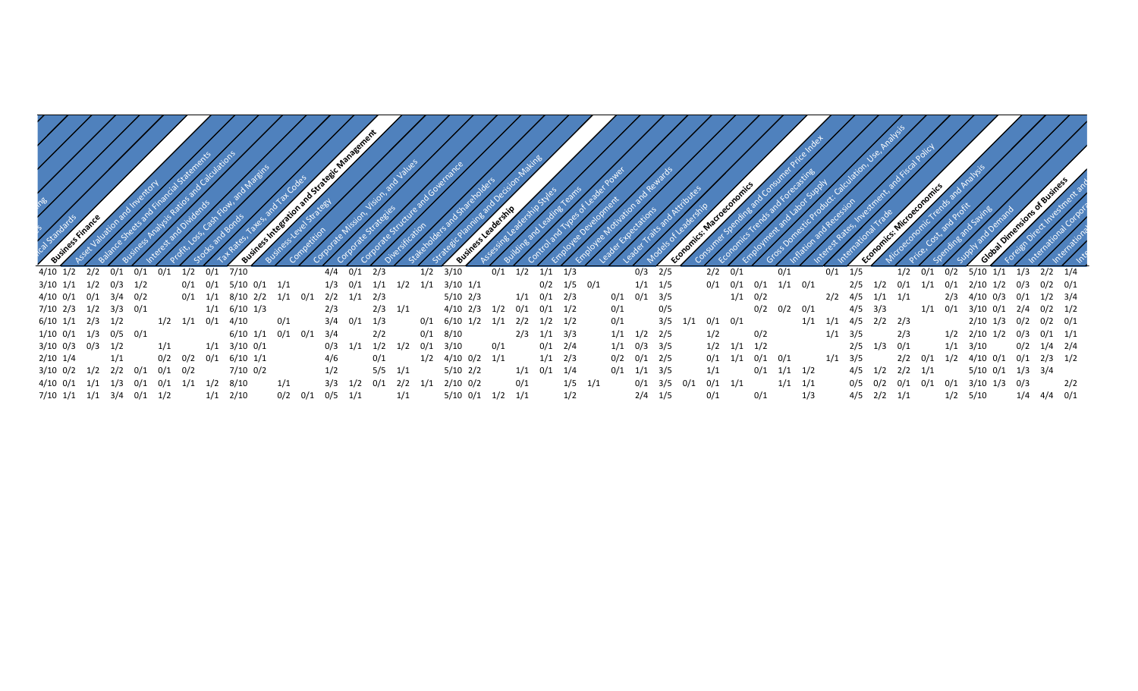| $4/10$ $1/2$ | 0/1<br>2/2           | 0/1         |             |             | $0/1$ 7/10         |     | $4/4$ $0/1$ | 2/3         |             | $1/2$ $3/10$ |              | 0/1        | 1/2               | $1/1$ $1/3$       |     | $0/3$ 2/5     |     | 2/2         |             |             |             | 175               |                   |     | 0/2          | $5/10$ $1/1$       |                   | $2/2$ $1/4$ |
|--------------|----------------------|-------------|-------------|-------------|--------------------|-----|-------------|-------------|-------------|--------------|--------------|------------|-------------------|-------------------|-----|---------------|-----|-------------|-------------|-------------|-------------|-------------------|-------------------|-----|--------------|--------------------|-------------------|-------------|
| 3/10 1/1     | $1/2$ 0/3 1/2        |             |             |             | 5/10 0/1 1/1       |     | $1/3$ 0/1   |             | 1/2         | 1/1          | $3/10$ $1/1$ |            |                   | $0/2$ $1/5$ $0/1$ |     |               | 1/5 |             | 0/1<br>0/1  | 1/1<br>0/1  |             |                   |                   |     | $0$ /        | 2/10 1/2           | 0/3               | $0/2$ $0/1$ |
| 4/10 0/1     | $0/1$ 3/4 $0/2$      |             |             | $0/1$ $1/1$ | 8/10 2/2 1/1 0/1   |     |             | 2/2 1/1 2/3 |             |              | 5/10 2/3     |            | $1/1$ $0/1$ $2/3$ |                   | 0/1 | $0/1$ 3/5     |     |             | $1/1$ 0/2   |             |             | $2/2$ 4/5         | $1/1$ $1/1$       |     | 2/3          | 4/10 0/3           | 0/1               | $1/2$ $3/4$ |
|              | 7/10 2/3 1/2 3/3 0/1 |             |             |             | $1/1$ 6/10 1/3     |     | 2/3         |             | $2/3$ $1/1$ |              | 4/10 2/3     |            | 0/1               | $0/1$ $1/2$       | 0/1 |               | 0/5 |             | 0/2         | $0/2$ $0/1$ |             | 4/5               | 3/3               | 1/1 | 0/1          | 3/10 0/1           |                   | $0/2$ 1/2   |
| 6/10 1/1     | 2/3<br>1/2           |             | $1/2$ $1/1$ | 0/1         | 4/10               | 0/1 |             | 0/1         |             | 0/1          | 6/10 1/2     |            | 2/2               | $1/2$ $1/2$       | 0/1 |               | 3/5 | $0/1$ $0/1$ |             |             | $1/1$ $1/1$ | $4/5$ $2/2$ $2/3$ |                   |     |              | 2/10 1/3           | $0/2$ $0/2$ $0/1$ |             |
| 1/10 0/1     | $1/3$ 0/5 0/1        |             |             |             | $6/10$ $1/1$ $0/1$ |     | 3/4<br>0/1  | 2/2         |             | $0/1$ 8/10   |              |            | $2/3$ $1/1$ $3/3$ |                   |     | $1/1$ $1/2$   | 2/5 | 1/2         | 0/2         |             |             | $1/1$ $3/5$       | 2/3               |     |              | $1/2$ $2/10$ $1/2$ | 0/3               | $0/1$ $1/1$ |
|              | $3/10$ 0/3 0/3 1/2   |             | 1/1         |             | $1/1$ $3/10$ $0/1$ |     | $0/3$ $1/1$ |             |             | 0/1          | 3/10         | 0/1        |                   | $0/1$ 2/4         |     | $1/1$ 0/3 3/5 |     | 1/2         | $1/1$ $1/2$ |             |             | $2/5$ $1/3$ $0/1$ |                   |     | $1/1$ $3/10$ |                    | 0/2               | $1/4$ $2/4$ |
| $2/10$ $1/4$ |                      |             | 0/2         |             | $6/10$ $1/1$       |     |             |             |             |              | 4/10 0/2     |            |                   | $1/1$ $2/3$       |     | $0/2$ $0/1$   | 2/5 |             | 0/1         | 0/1         |             |                   |                   |     |              |                    | 0/1               | $2/3$ $1/2$ |
| $3/10$ 0/2   | 1/2                  | $2/2$ $0/1$ | 0/1         | 0/2         | $7/10$ 0/2         |     |             |             | 5/5         |              | $5/10$ 2/2   |            | 0/1               | 1/4               | 0/1 |               | 3/5 |             | 0/1         | 1/2         |             |                   | 1/2               |     |              | 5/10 0/1           | $1/3$ $3/4$       |             |
| 4/10 0/1     | 1/1                  |             | -0/1        | 1/2         | 8/10               |     | 3/3         |             |             |              | $2/10$ 0/2   |            |                   | 1/5               |     |               |     | 0/1         |             |             |             |                   |                   |     | 0/1          | 1/3<br>3/10        | - 0/3             | 2/2         |
| 7/10 1/1     | 1/1                  | 3/4 0/1     |             |             |                    | 0/2 | 0/1         | 1/1         |             |              | 5/10 0/1     | 1/1<br>1/2 |                   |                   |     |               | 1/5 |             | 0/1         |             | 1/3         |                   | $4/5$ $2/2$ $1/1$ |     |              |                    |                   | $4/4$ $0/1$ |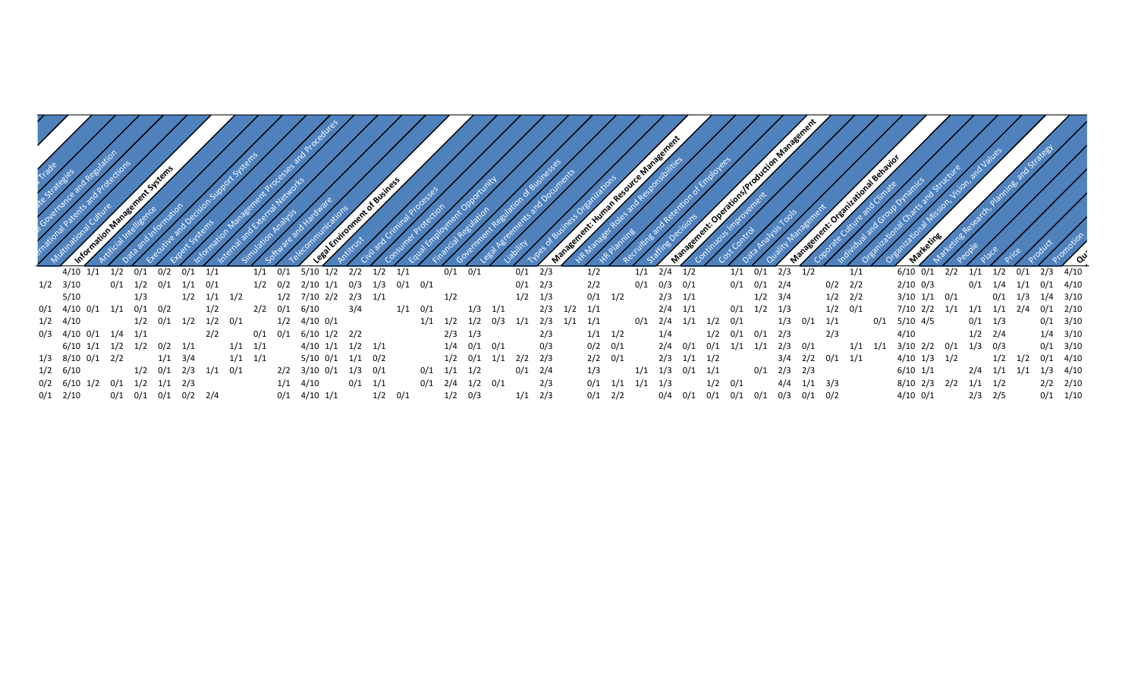|                                |                     |                   |     |             |     |             |             |             |     |                          |                    |             | ent of Business |           |                   |                   |             |     |             |     |             | <b>Human Res</b> | e Manag           |             |                   |                   |     | Feeling of Production Management |             |                                                 |             |     | Behav |                    |     |             |                   |     |              |
|--------------------------------|---------------------|-------------------|-----|-------------|-----|-------------|-------------|-------------|-----|--------------------------|--------------------|-------------|-----------------|-----------|-------------------|-------------------|-------------|-----|-------------|-----|-------------|------------------|-------------------|-------------|-------------------|-------------------|-----|----------------------------------|-------------|-------------------------------------------------|-------------|-----|-------|--------------------|-----|-------------|-------------------|-----|--------------|
| $4/10$ $1/1$                   | 1/2                 | 0/1               | 0/2 | 0/1         | 1/1 |             |             | $1/1$ $0/1$ |     | 5/10                     | 1/2                | 2/2         | $1/2$ $1/1$     |           |                   | $0/1$ $0/1$       |             |     | $0/1$ 2/3   |     |             | 1/2              | $1/1$ $2/4$ $1/2$ |             |                   |                   | 1/1 | 0/1                              | 2/3         | 1/2                                             |             | 1/1 |       | $6/10$ $0/1$       | 2/2 | 1/1         | 1/2               | 0/1 | $2/3$ 4/10   |
| $1/2$ $3/10$                   | 0/1                 | $1/2$ 0/1         |     | 1/1         | 0/1 |             |             |             |     | $1/2$ $0/2$ $2/10$ $1/1$ |                    | 0/3         | $1/3$ 0/1 0/1   |           |                   |                   |             |     | 0/1         | 2/3 |             | 2/2              | $0/1$ $0/3$ $0/1$ |             |                   |                   |     | $0/1$ $0/1$ $2/4$                |             |                                                 | $0/2$ $2/2$ |     |       | $2/10$ 0/3         |     | $0/1$ $1/4$ |                   | 1/1 | $0/1$ 4/10   |
| 5/10                           |                     | 1/3               |     | 1/2         |     | $1/1$ $1/2$ |             |             |     | 1/2 7/10 2/2             |                    | $2/3$ $1/1$ |                 |           |                   | 1/2               |             |     | 1/2         | 1/3 |             | $0/1$ $1/2$      |                   | $2/3$ $1/1$ |                   |                   |     | $1/2$ $3/4$                      |             |                                                 | $1/2$ $2/2$ |     |       | 3/10 1/1           | 0/1 |             | $0/1$ $1/3$       |     | $1/4$ $3/10$ |
| $0/1$ 4/10 0/1                 | 1/1                 | $0/1$ $0/2$       |     |             | 1/2 |             |             | 2/2         |     | 0/1 6/10                 |                    | 3/4         |                 | $1/1$ 0/1 |                   |                   | 1/3         | 1/1 |             | 2/3 | $1/2$ $1/1$ |                  |                   | $2/4$ $1/1$ |                   |                   |     | $0/1$ $1/2$ $1/3$                |             |                                                 | $1/2$ $0/1$ |     |       | 7/10 2/2 1/1       |     |             | $1/1$ $1/1$ $2/4$ |     | $0/1$ 2/10   |
| $1/2$ $4/10$                   |                     | $1/2$ 0/1         |     | 1/2         |     | $1/2$ $0/1$ |             |             | 1/2 | 4/10 0/1                 |                    |             |                 |           | $1/1$ $1/2$ $1/2$ |                   |             | 0/3 | 1/1         | 2/3 | $1/1$ $1/1$ |                  | $0/1$ 2/4         |             |                   | $1/1$ $1/2$ $0/1$ |     |                                  | 1/3         | $0/1$ $1/1$                                     |             |     | 0/1   | 5/10 4/5           |     | $0/1$ 1/3   |                   |     | $0/1$ 3/10   |
| $0/3$ 4/10 0/1 1/4 1/1         |                     |                   |     |             | 2/2 |             |             | 0/1         |     |                          | $0/1$ 6/10 1/2 2/2 |             |                 |           |                   | $2/3$ $1/3$       |             |     |             | 2/3 |             | $1/1$ $1/2$      |                   | 1/4         |                   | $1/2$ $0/1$       |     | 0/1                              | 2/3         |                                                 | 2/3         |     |       | 4/10               |     | $1/2$ $2/4$ |                   |     | $1/4$ $3/10$ |
| 6/10 1/1                       | 1/2                 | $1/2$ $0/2$ $1/1$ |     |             |     |             | $1/1$ $1/1$ |             |     | $4/10$ $1/1$             |                    | $1/2$ $1/1$ |                 |           |                   | $1/4$ $0/1$ $0/1$ |             |     |             | 0/3 |             | $0/2$ $0/1$      |                   | $2/4$ 0/1   |                   | 0/1               | 1/1 | 1/1                              | $2/3$ 0/1   |                                                 |             | 1/1 | 1/1   | $3/10$ $2/2$ $0/1$ |     | $1/3$ 0/3   |                   |     | $0/1$ $3/10$ |
| 1/3 8/10 0/1                   | 2/2                 |                   |     | $1/1$ $3/4$ |     |             | $1/1$ $1/1$ |             |     | $5/10$ 0/1               |                    | 1/1         | 0/2             |           |                   | $1/2$ 0/1         |             | 1/1 | $2/2$ $2/3$ |     |             | $2/2$ 0/1        |                   |             | $2/3$ $1/1$ $1/2$ |                   |     |                                  | $3/4$ $2/2$ |                                                 | $0/1$ $1/1$ |     |       | $4/10$ $1/3$       | 1/2 |             | $1/2$ $1/2$       |     | $0/1$ 4/10   |
| $1/2$ 6/10                     |                     | $1/2$ $0/1$ $2/3$ |     |             |     | $1/1$ $0/1$ |             |             |     | $2/2$ $3/10$ $0/1$       |                    | $1/3$ 0/1   |                 |           | $0/1$ $1/1$ $1/2$ |                   |             |     | 0/1         | 2/4 |             | 1/3              | 1/1               | 1/3         | $0/1$ $1/1$       |                   |     | $0/1$ 2/3 2/3                    |             |                                                 |             |     |       | $6/10$ $1/1$       |     | 2/4         | $1/1$ $1/1$       |     | $1/3$ $4/10$ |
| $0/2$ 6/10 1/2 0/1 1/2 1/1 2/3 |                     |                   |     |             |     |             |             |             |     | $1/1$ $4/10$             |                    | 0/1         | 1/1             |           | $0/1$ 2/4         |                   | $1/2$ $0/1$ |     |             | 2/3 |             | $0/1$ $1/1$      | 1/1               | 1/3         |                   | $1/2$ $0/1$       |     |                                  | 4/4         | $1/1$ $3/3$                                     |             |     |       | $8/10$ 2/3 2/2     |     | $1/1$ $1/2$ |                   |     | $2/2$ $2/10$ |
| $0/1$ 2/10                     | 0/1 0/1 0/1 0/2 2/4 |                   |     |             |     |             |             |             |     | $0/1$ 4/10 1/1           |                    |             | $1/2$ $0/1$     |           |                   | $1/2$ 0/3         |             |     | $1/1$ $2/3$ |     |             | $0/1$ 2/2        |                   |             |                   |                   |     |                                  |             | $0/4$ $0/1$ $0/1$ $0/1$ $0/1$ $0/3$ $0/1$ $0/2$ |             |     |       | $4/10$ 0/1         |     | $2/3$ 2/5   |                   |     | $0/1$ $1/10$ |